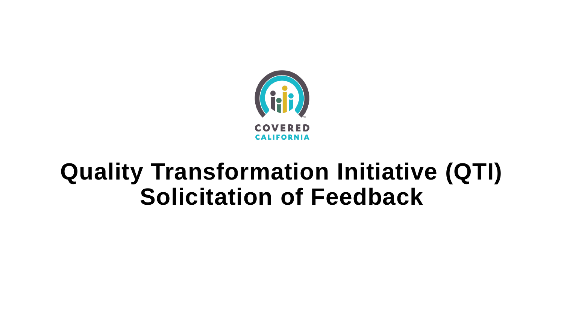

## **Quality Transformation Initiative (QTI) Solicitation of Feedback**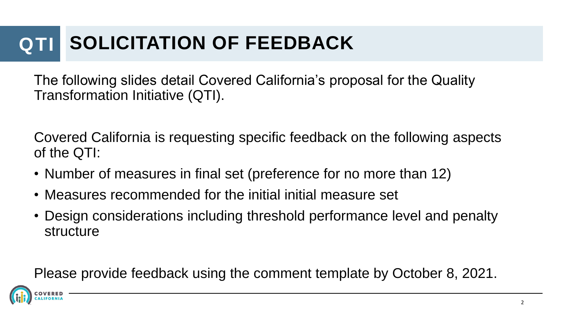## **QTI SOLICITATION OF FEEDBACK**

The following slides detail Covered California's proposal for the Quality Transformation Initiative (QTI).

Covered California is requesting specific feedback on the following aspects of the QTI:

- Number of measures in final set (preference for no more than 12)
- Measures recommended for the initial initial measure set
- Design considerations including threshold performance level and penalty structure

Please provide feedback using the comment template by October 8, 2021.

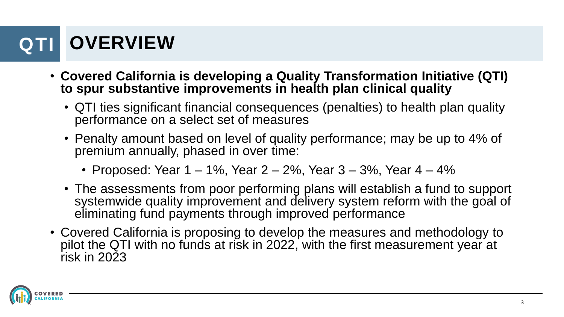## **OVERVIEW**

- **Covered California is developing a Quality Transformation Initiative (QTI) to spur substantive improvements in health plan clinical quality**
	- QTI ties significant financial consequences (penalties) to health plan quality performance on a select set of measures
	- Penalty amount based on level of quality performance; may be up to 4% of premium annually, phased in over time:
		- Proposed: Year  $1 1\%$ , Year  $2 2\%$ , Year  $3 3\%$ , Year  $4 4\%$
	- The assessments from poor performing plans will establish a fund to support systemwide quality improvement and delivery system reform with the goal of eliminating fund payments through improved performance
- Covered California is proposing to develop the measures and methodology to pilot the QTI with no funds at risk in 2022, with the first measurement year at risk in 2023

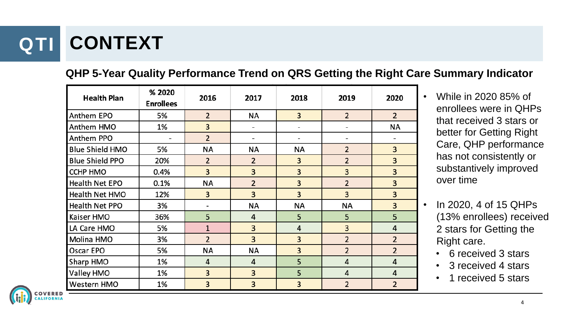# **QTI CONTEXT**

#### **QHP 5-Year Quality Performance Trend on QRS Getting the Right Care Summary Indicator**

| <b>Health Plan</b>     | % 2020<br><b>Enrollees</b> | 2016           | 2017           | 2018      | 2019                    | 2020           |
|------------------------|----------------------------|----------------|----------------|-----------|-------------------------|----------------|
| Anthem EPO             | 5%                         | $\overline{2}$ | ΝA             | 3         | $\overline{2}$          | $\overline{2}$ |
| Anthem HMO             | 1%                         | 3              | -              | -         | -                       | <b>NA</b>      |
| Anthem PPO             |                            | $\overline{2}$ | -              | -         | -                       |                |
| <b>Blue Shield HMO</b> | 5%                         | ΝA             | ΝA             | ΝA        | $\overline{2}$          | 3              |
| <b>Blue Shield PPO</b> | 20%                        | $\overline{2}$ | $\overline{2}$ | 3         | $\overline{2}$          | 3              |
| <b>CCHP HMO</b>        | 0.4%                       | 3              | 3              | 3         | 3                       | 3              |
| Health Net EPO         | 0.1%                       | ΝA             | $\overline{2}$ | 3         | $\overline{2}$          | 3              |
| Health Net HMO         | 12%                        | 3              | 3              | 3         | 3                       | 3              |
| Health Net PPO         | 3%                         | -              | <b>NA</b>      | <b>NA</b> | NA                      | 3              |
| Kaiser HMO             | 36%                        | 5              | 4              | 5         | 5                       | 5              |
| LA Care HMO            | 5%                         | $\overline{1}$ | 3              | 4         | $\overline{\mathbf{3}}$ | 4              |
| Molina HMO             | 3%                         | $\overline{2}$ | 3              | 3         | $\overline{2}$          | $\overline{2}$ |
| Oscar EPO              | 5%                         | ΝA             | NA             | 3         | $\overline{2}$          | $\overline{2}$ |
| Sharp HMO              | 1%                         | 4              | $\overline{4}$ | 5         | 4                       | 4              |
| Valley HMO             | 1%                         | 3              | 3              | 5         | 4                       | 4              |
| <b>Western HMO</b>     | 1%                         | 3              | 3              | 3         | 2                       | $\overline{2}$ |



- In 2020, 4 of 15 QHPs (13% enrollees) received 2 stars for Getting the Right care.
	- 6 received 3 stars
	- 3 received 4 stars
	- 1 received 5 stars

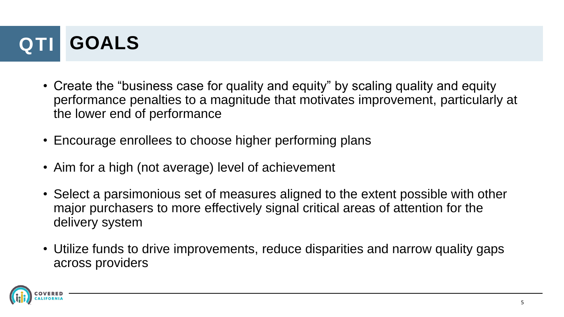# **QTI GOALS**

- Create the "business case for quality and equity" by scaling quality and equity performance penalties to a magnitude that motivates improvement, particularly at the lower end of performance
- Encourage enrollees to choose higher performing plans
- Aim for a high (not average) level of achievement
- Select a parsimonious set of measures aligned to the extent possible with other major purchasers to more effectively signal critical areas of attention for the delivery system
- Utilize funds to drive improvements, reduce disparities and narrow quality gaps across providers

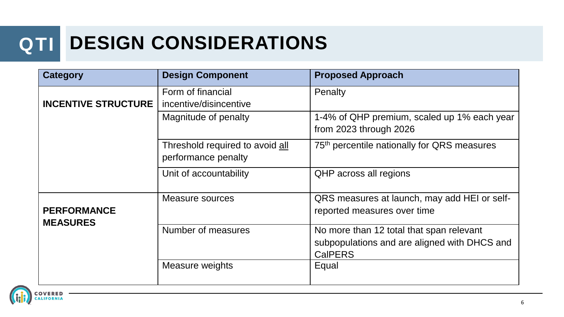#### **QTI DESIGN CONSIDERATIONS**

| <b>Category</b>                       | <b>Design Component</b>                                | <b>Proposed Approach</b>                                                                                   |
|---------------------------------------|--------------------------------------------------------|------------------------------------------------------------------------------------------------------------|
| <b>INCENTIVE STRUCTURE</b>            | Form of financial<br>incentive/disincentive            | Penalty                                                                                                    |
|                                       | Magnitude of penalty                                   | 1-4% of QHP premium, scaled up 1% each year<br>from 2023 through 2026                                      |
|                                       | Threshold required to avoid all<br>performance penalty | 75 <sup>th</sup> percentile nationally for QRS measures                                                    |
|                                       | Unit of accountability                                 | QHP across all regions                                                                                     |
| <b>PERFORMANCE</b><br><b>MEASURES</b> | Measure sources                                        | QRS measures at launch, may add HEI or self-<br>reported measures over time                                |
|                                       | Number of measures                                     | No more than 12 total that span relevant<br>subpopulations and are aligned with DHCS and<br><b>CalPERS</b> |
|                                       | Measure weights                                        | Equal                                                                                                      |

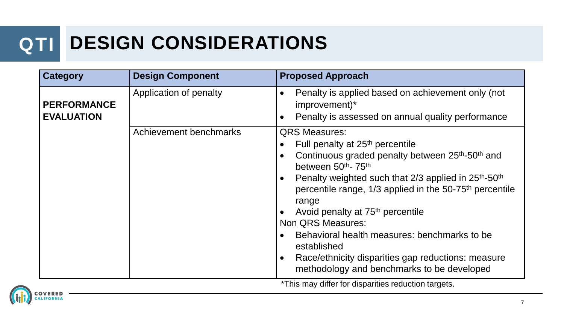## **QTI DESIGN CONSIDERATIONS**

| <b>Category</b>                         | <b>Design Component</b> | <b>Proposed Approach</b>                                                                                                                                                                                                                                                                                                                                                                                                                                                                                                                                                                                                                                                             |
|-----------------------------------------|-------------------------|--------------------------------------------------------------------------------------------------------------------------------------------------------------------------------------------------------------------------------------------------------------------------------------------------------------------------------------------------------------------------------------------------------------------------------------------------------------------------------------------------------------------------------------------------------------------------------------------------------------------------------------------------------------------------------------|
| <b>PERFORMANCE</b><br><b>EVALUATION</b> | Application of penalty  | Penalty is applied based on achievement only (not<br>$\bullet$<br>improvement)*<br>Penalty is assessed on annual quality performance<br>$\bullet$                                                                                                                                                                                                                                                                                                                                                                                                                                                                                                                                    |
|                                         | Achievement benchmarks  | <b>QRS Measures:</b><br>Full penalty at 25 <sup>th</sup> percentile<br>$\bullet$<br>Continuous graded penalty between 25 <sup>th</sup> -50 <sup>th</sup> and<br>$\bullet$<br>between 50 <sup>th</sup> - 75 <sup>th</sup><br>Penalty weighted such that 2/3 applied in 25 <sup>th</sup> -50 <sup>th</sup><br>$\bullet$<br>percentile range, 1/3 applied in the 50-75 <sup>th</sup> percentile<br>range<br>Avoid penalty at 75 <sup>th</sup> percentile<br>$\bullet$<br>Non QRS Measures:<br>Behavioral health measures: benchmarks to be<br>$\bullet$<br>established<br>Race/ethnicity disparities gap reductions: measure<br>$\bullet$<br>methodology and benchmarks to be developed |
|                                         |                         | *This may differ for disparities reduction targets.                                                                                                                                                                                                                                                                                                                                                                                                                                                                                                                                                                                                                                  |

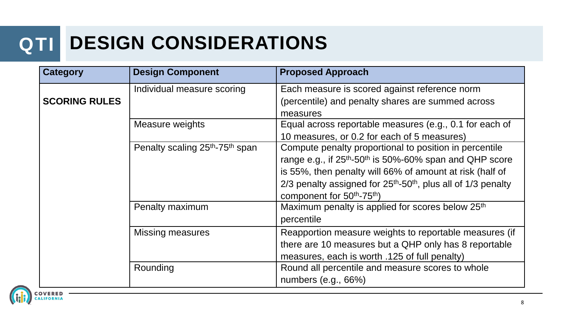#### **QTI DESIGN CONSIDERATIONS**

| <b>Category</b>      | <b>Design Component</b>                                 | <b>Proposed Approach</b>                                                                                                                                                                                                                                                                                                                     |  |  |
|----------------------|---------------------------------------------------------|----------------------------------------------------------------------------------------------------------------------------------------------------------------------------------------------------------------------------------------------------------------------------------------------------------------------------------------------|--|--|
| <b>SCORING RULES</b> | Individual measure scoring                              | Each measure is scored against reference norm<br>(percentile) and penalty shares are summed across<br>measures                                                                                                                                                                                                                               |  |  |
|                      | Measure weights                                         | Equal across reportable measures (e.g., 0.1 for each of<br>10 measures, or 0.2 for each of 5 measures)                                                                                                                                                                                                                                       |  |  |
|                      | Penalty scaling 25 <sup>th</sup> -75 <sup>th</sup> span | Compute penalty proportional to position in percentile<br>range e.g., if 25 <sup>th</sup> -50 <sup>th</sup> is 50%-60% span and QHP score<br>is 55%, then penalty will 66% of amount at risk (half of<br>$2/3$ penalty assigned for $25th$ -50 <sup>th</sup> , plus all of 1/3 penalty<br>component for 50 <sup>th</sup> -75 <sup>th</sup> ) |  |  |
|                      | Penalty maximum                                         | Maximum penalty is applied for scores below 25 <sup>th</sup><br>percentile                                                                                                                                                                                                                                                                   |  |  |
|                      | <b>Missing measures</b>                                 | Reapportion measure weights to reportable measures (if<br>there are 10 measures but a QHP only has 8 reportable<br>measures, each is worth .125 of full penalty)                                                                                                                                                                             |  |  |
|                      | Rounding                                                | Round all percentile and measure scores to whole<br>numbers (e.g., 66%)                                                                                                                                                                                                                                                                      |  |  |

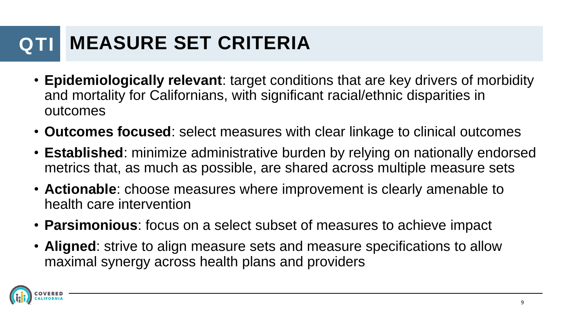#### **QTI MEASURE SET CRITERIA**

- **Epidemiologically relevant**: target conditions that are key drivers of morbidity and mortality for Californians, with significant racial/ethnic disparities in outcomes
- **Outcomes focused**: select measures with clear linkage to clinical outcomes
- **Established**: minimize administrative burden by relying on nationally endorsed metrics that, as much as possible, are shared across multiple measure sets
- **Actionable**: choose measures where improvement is clearly amenable to health care intervention
- **Parsimonious**: focus on a select subset of measures to achieve impact
- **Aligned**: strive to align measure sets and measure specifications to allow maximal synergy across health plans and providers

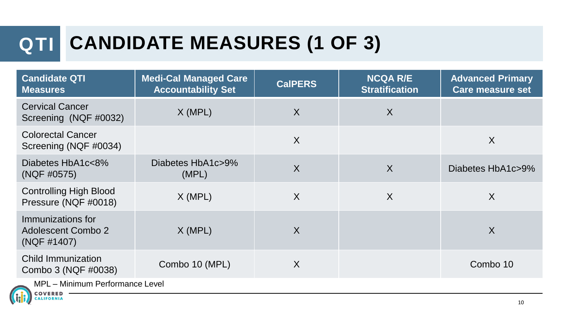# **QTI CANDIDATE MEASURES (1 OF 3)**

| <b>Candidate QTI</b><br><b>Measures</b>                       | <b>Medi-Cal Managed Care</b><br><b>Accountability Set</b> | <b>CalPERS</b> | <b>NCQA R/E</b><br><b>Stratification</b> | <b>Advanced Primary</b><br>Care measure set |  |
|---------------------------------------------------------------|-----------------------------------------------------------|----------------|------------------------------------------|---------------------------------------------|--|
| <b>Cervical Cancer</b><br>Screening (NQF #0032)               | X (MPL)                                                   | $\sf X$        | $\sf X$                                  |                                             |  |
| <b>Colorectal Cancer</b><br>Screening (NQF #0034)             |                                                           | $\sf X$        |                                          | X                                           |  |
| Diabetes HbA1c<8%<br>(NQF #0575)                              | Diabetes HbA1c>9%<br>(MPL)                                | $\sf X$        | $\sf X$                                  | Diabetes HbA1c>9%                           |  |
| <b>Controlling High Blood</b><br>Pressure (NQF #0018)         | X (MPL)                                                   | X              | X                                        | $\sf X$                                     |  |
| Immunizations for<br><b>Adolescent Combo 2</b><br>(NQF #1407) | $X$ (MPL)                                                 | X              |                                          | X                                           |  |
| <b>Child Immunization</b><br>Combo 3 (NQF #0038)              | Combo 10 (MPL)                                            | X              |                                          | Combo 10                                    |  |
| MPL - Minimum Performance Level                               |                                                           |                |                                          |                                             |  |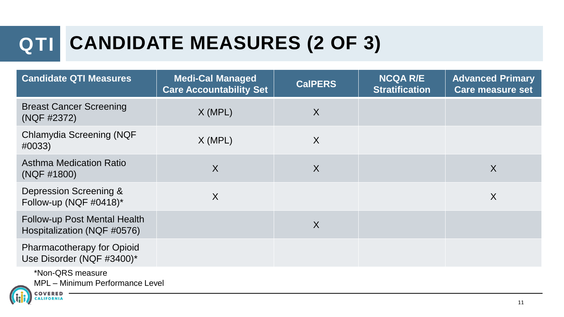# **QTI CANDIDATE MEASURES (2 OF 3)**

| <b>Candidate QTI Measures</b>                                  | <b>Medi-Cal Managed</b><br><b>Care Accountability Set</b> | <b>CalPERS</b>          | <b>NCQA R/E</b><br><b>Stratification</b> | <b>Advanced Primary</b><br><b>Care measure set</b> |
|----------------------------------------------------------------|-----------------------------------------------------------|-------------------------|------------------------------------------|----------------------------------------------------|
| <b>Breast Cancer Screening</b><br>(NQF #2372)                  | $X$ (MPL)                                                 | X                       |                                          |                                                    |
| Chlamydia Screening (NQF<br>#0033)                             | $X$ (MPL)                                                 | X                       |                                          |                                                    |
| <b>Asthma Medication Ratio</b><br>(NQF #1800)                  | $\sf X$                                                   | $\overline{\mathsf{X}}$ |                                          | X                                                  |
| Depression Screening &<br>Follow-up (NQF #0418)*               | X                                                         |                         |                                          | X                                                  |
| Follow-up Post Mental Health<br>Hospitalization (NQF #0576)    |                                                           | $\overline{X}$          |                                          |                                                    |
| <b>Pharmacotherapy for Opioid</b><br>Use Disorder (NQF #3400)* |                                                           |                         |                                          |                                                    |
| *Non-QRS measure<br>MPL - Minimum Performance Level            |                                                           |                         |                                          |                                                    |

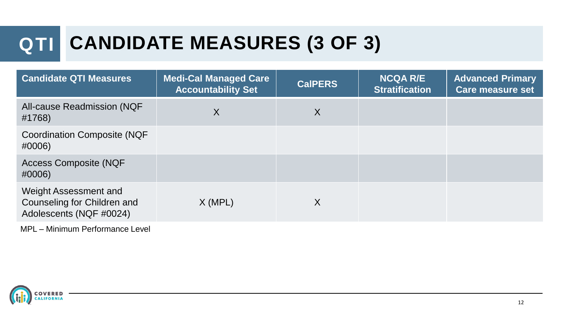# **QTI CANDIDATE MEASURES (3 OF 3)**

| <b>Candidate QTI Measures</b>                                                   | <b>Medi-Cal Managed Care</b><br><b>Accountability Set</b> | <b>CalPERS</b> | <b>NCQA R/E</b><br><b>Stratification</b> | <b>Advanced Primary</b><br><b>Care measure set</b> |
|---------------------------------------------------------------------------------|-----------------------------------------------------------|----------------|------------------------------------------|----------------------------------------------------|
| <b>All-cause Readmission (NQF</b><br>#1768)                                     | X                                                         | X              |                                          |                                                    |
| <b>Coordination Composite (NQF</b><br>#0006)                                    |                                                           |                |                                          |                                                    |
| <b>Access Composite (NQF</b><br>#0006)                                          |                                                           |                |                                          |                                                    |
| Weight Assessment and<br>Counseling for Children and<br>Adolescents (NQF #0024) | $X$ (MPL)                                                 | X              |                                          |                                                    |

MPL – Minimum Performance Level